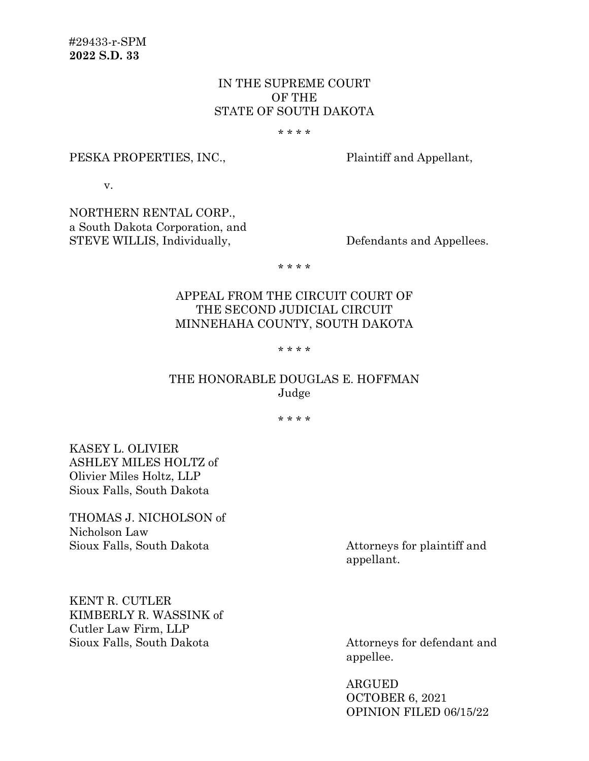## IN THE SUPREME COURT OF THE STATE OF SOUTH DAKOTA

\* \* \* \*

#### PESKA PROPERTIES, INC., Plaintiff and Appellant,

v.

NORTHERN RENTAL CORP., a South Dakota Corporation, and STEVE WILLIS, Individually, Defendants and Appellees.

\* \* \* \*

## APPEAL FROM THE CIRCUIT COURT OF THE SECOND JUDICIAL CIRCUIT MINNEHAHA COUNTY, SOUTH DAKOTA

#### \* \* \* \*

## THE HONORABLE DOUGLAS E. HOFFMAN Judge

\* \* \* \*

KASEY L. OLIVIER ASHLEY MILES HOLTZ of Olivier Miles Holtz, LLP Sioux Falls, South Dakota

THOMAS J. NICHOLSON of Nicholson Law Sioux Falls, South Dakota Attorneys for plaintiff and

appellant.

KENT R. CUTLER KIMBERLY R. WASSINK of Cutler Law Firm, LLP Sioux Falls, South Dakota Attorneys for defendant and

appellee.

ARGUED OCTOBER 6, 2021 OPINION FILED 06/15/22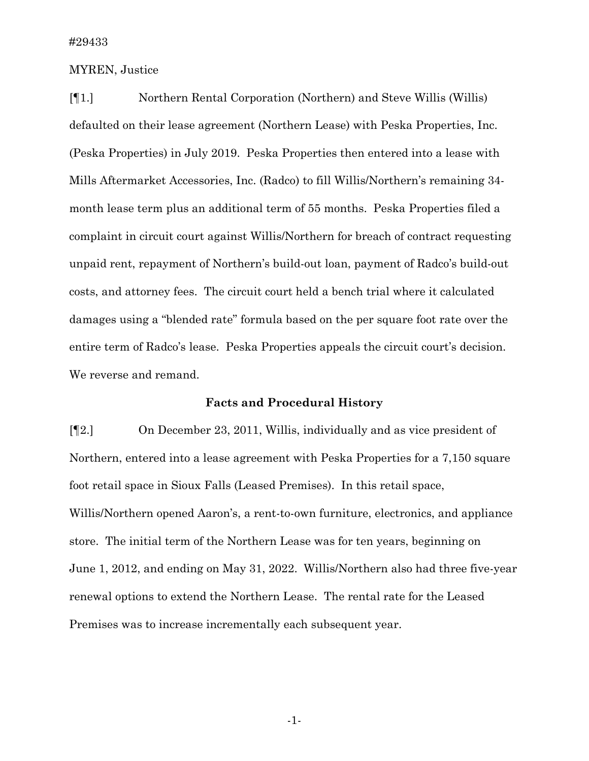### MYREN, Justice

[¶1.] Northern Rental Corporation (Northern) and Steve Willis (Willis) defaulted on their lease agreement (Northern Lease) with Peska Properties, Inc. (Peska Properties) in July 2019. Peska Properties then entered into a lease with Mills Aftermarket Accessories, Inc. (Radco) to fill Willis/Northern's remaining 34 month lease term plus an additional term of 55 months. Peska Properties filed a complaint in circuit court against Willis/Northern for breach of contract requesting unpaid rent, repayment of Northern's build-out loan, payment of Radco's build-out costs, and attorney fees. The circuit court held a bench trial where it calculated damages using a "blended rate" formula based on the per square foot rate over the entire term of Radco's lease. Peska Properties appeals the circuit court's decision. We reverse and remand.

### **Facts and Procedural History**

[¶2.] On December 23, 2011, Willis, individually and as vice president of Northern, entered into a lease agreement with Peska Properties for a 7,150 square foot retail space in Sioux Falls (Leased Premises). In this retail space, Willis/Northern opened Aaron's, a rent-to-own furniture, electronics, and appliance store. The initial term of the Northern Lease was for ten years, beginning on June 1, 2012, and ending on May 31, 2022. Willis/Northern also had three five-year renewal options to extend the Northern Lease. The rental rate for the Leased Premises was to increase incrementally each subsequent year.

-1-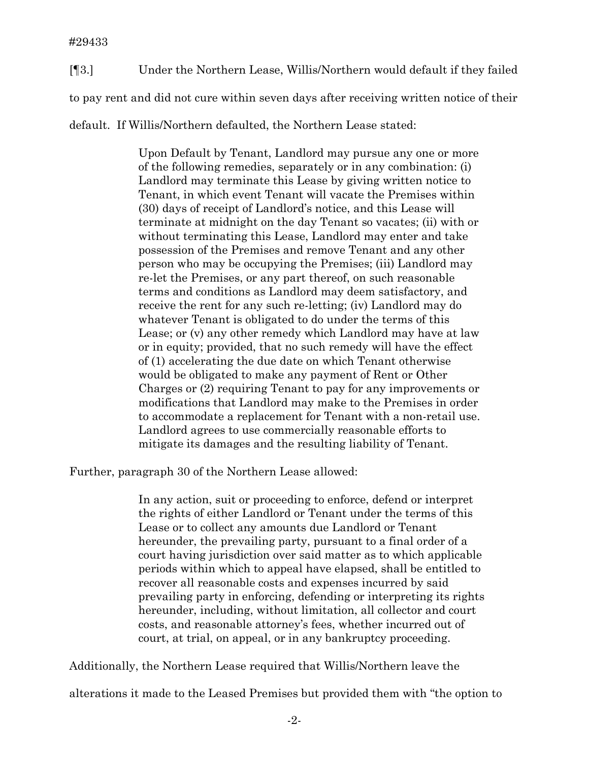[¶3.] Under the Northern Lease, Willis/Northern would default if they failed to pay rent and did not cure within seven days after receiving written notice of their default. If Willis/Northern defaulted, the Northern Lease stated:

> Upon Default by Tenant, Landlord may pursue any one or more of the following remedies, separately or in any combination: (i) Landlord may terminate this Lease by giving written notice to Tenant, in which event Tenant will vacate the Premises within (30) days of receipt of Landlord's notice, and this Lease will terminate at midnight on the day Tenant so vacates; (ii) with or without terminating this Lease, Landlord may enter and take possession of the Premises and remove Tenant and any other person who may be occupying the Premises; (iii) Landlord may re-let the Premises, or any part thereof, on such reasonable terms and conditions as Landlord may deem satisfactory, and receive the rent for any such re-letting; (iv) Landlord may do whatever Tenant is obligated to do under the terms of this Lease; or (v) any other remedy which Landlord may have at law or in equity; provided, that no such remedy will have the effect of (1) accelerating the due date on which Tenant otherwise would be obligated to make any payment of Rent or Other Charges or (2) requiring Tenant to pay for any improvements or modifications that Landlord may make to the Premises in order to accommodate a replacement for Tenant with a non-retail use. Landlord agrees to use commercially reasonable efforts to mitigate its damages and the resulting liability of Tenant.

Further, paragraph 30 of the Northern Lease allowed:

In any action, suit or proceeding to enforce, defend or interpret the rights of either Landlord or Tenant under the terms of this Lease or to collect any amounts due Landlord or Tenant hereunder, the prevailing party, pursuant to a final order of a court having jurisdiction over said matter as to which applicable periods within which to appeal have elapsed, shall be entitled to recover all reasonable costs and expenses incurred by said prevailing party in enforcing, defending or interpreting its rights hereunder, including, without limitation, all collector and court costs, and reasonable attorney's fees, whether incurred out of court, at trial, on appeal, or in any bankruptcy proceeding.

Additionally, the Northern Lease required that Willis/Northern leave the

alterations it made to the Leased Premises but provided them with "the option to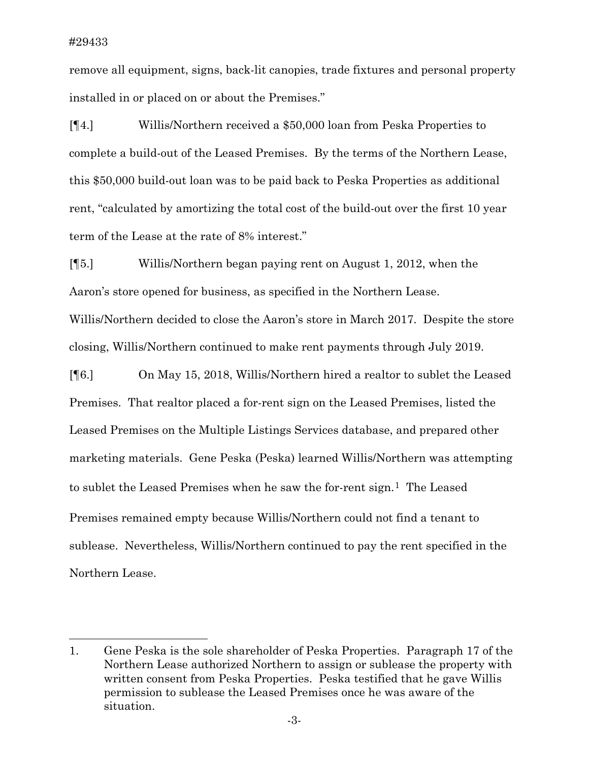remove all equipment, signs, back-lit canopies, trade fixtures and personal property installed in or placed on or about the Premises."

[¶4.] Willis/Northern received a \$50,000 loan from Peska Properties to complete a build-out of the Leased Premises. By the terms of the Northern Lease, this \$50,000 build-out loan was to be paid back to Peska Properties as additional rent, "calculated by amortizing the total cost of the build-out over the first 10 year term of the Lease at the rate of 8% interest."

[¶5.] Willis/Northern began paying rent on August 1, 2012, when the Aaron's store opened for business, as specified in the Northern Lease. Willis/Northern decided to close the Aaron's store in March 2017. Despite the store closing, Willis/Northern continued to make rent payments through July 2019.

[¶6.] On May 15, 2018, Willis/Northern hired a realtor to sublet the Leased Premises. That realtor placed a for-rent sign on the Leased Premises, listed the Leased Premises on the Multiple Listings Services database, and prepared other marketing materials. Gene Peska (Peska) learned Willis/Northern was attempting to sublet the Leased Premises when he saw the for-rent sign.<sup>1</sup> The Leased Premises remained empty because Willis/Northern could not find a tenant to sublease. Nevertheless, Willis/Northern continued to pay the rent specified in the Northern Lease.

<span id="page-3-0"></span><sup>1.</sup> Gene Peska is the sole shareholder of Peska Properties. Paragraph 17 of the Northern Lease authorized Northern to assign or sublease the property with written consent from Peska Properties. Peska testified that he gave Willis permission to sublease the Leased Premises once he was aware of the situation.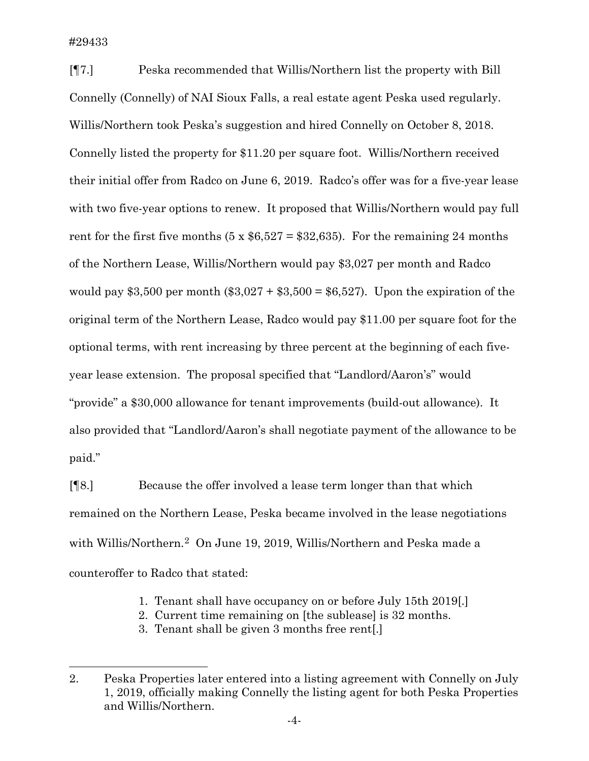[¶7.] Peska recommended that Willis/Northern list the property with Bill Connelly (Connelly) of NAI Sioux Falls, a real estate agent Peska used regularly. Willis/Northern took Peska's suggestion and hired Connelly on October 8, 2018. Connelly listed the property for \$11.20 per square foot. Willis/Northern received their initial offer from Radco on June 6, 2019. Radco's offer was for a five-year lease with two five-year options to renew. It proposed that Willis/Northern would pay full rent for the first five months  $(5 \times $6,527 = $32,635)$ . For the remaining 24 months of the Northern Lease, Willis/Northern would pay \$3,027 per month and Radco would pay \$3,500 per month (\$3,027 + \$3,500 = \$6,527). Upon the expiration of the original term of the Northern Lease, Radco would pay \$11.00 per square foot for the optional terms, with rent increasing by three percent at the beginning of each fiveyear lease extension. The proposal specified that "Landlord/Aaron's" would "provide" a \$30,000 allowance for tenant improvements (build-out allowance). It also provided that "Landlord/Aaron's shall negotiate payment of the allowance to be paid."

[¶8.] Because the offer involved a lease term longer than that which remained on the Northern Lease, Peska became involved in the lease negotiations with Willis/Northern.[2](#page-4-0) On June 19, 2019, Willis/Northern and Peska made a counteroffer to Radco that stated:

- 1. Tenant shall have occupancy on or before July 15th 2019[.]
- 2. Current time remaining on [the sublease] is 32 months.
- 3. Tenant shall be given 3 months free rent[.]

<span id="page-4-0"></span><sup>2.</sup> Peska Properties later entered into a listing agreement with Connelly on July 1, 2019, officially making Connelly the listing agent for both Peska Properties and Willis/Northern.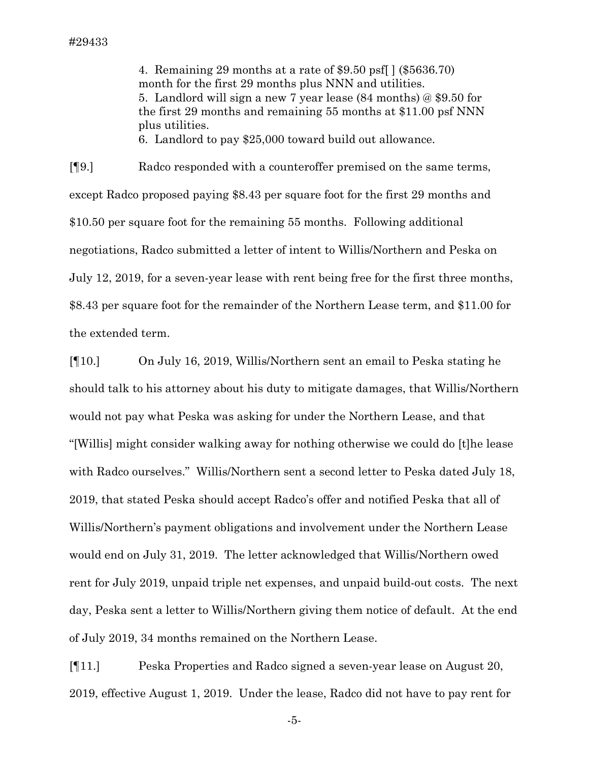4. Remaining 29 months at a rate of \$9.50 psf[ ] (\$5636.70) month for the first 29 months plus NNN and utilities. 5. Landlord will sign a new 7 year lease (84 months) @ \$9.50 for the first 29 months and remaining 55 months at \$11.00 psf NNN plus utilities.

6. Landlord to pay \$25,000 toward build out allowance.

[¶9.] Radco responded with a counteroffer premised on the same terms, except Radco proposed paying \$8.43 per square foot for the first 29 months and \$10.50 per square foot for the remaining 55 months. Following additional negotiations, Radco submitted a letter of intent to Willis/Northern and Peska on July 12, 2019, for a seven-year lease with rent being free for the first three months, \$8.43 per square foot for the remainder of the Northern Lease term, and \$11.00 for the extended term.

[¶10.] On July 16, 2019, Willis/Northern sent an email to Peska stating he should talk to his attorney about his duty to mitigate damages, that Willis/Northern would not pay what Peska was asking for under the Northern Lease, and that "[Willis] might consider walking away for nothing otherwise we could do [t]he lease with Radco ourselves." Willis/Northern sent a second letter to Peska dated July 18, 2019, that stated Peska should accept Radco's offer and notified Peska that all of Willis/Northern's payment obligations and involvement under the Northern Lease would end on July 31, 2019. The letter acknowledged that Willis/Northern owed rent for July 2019, unpaid triple net expenses, and unpaid build-out costs. The next day, Peska sent a letter to Willis/Northern giving them notice of default. At the end of July 2019, 34 months remained on the Northern Lease.

[¶11.] Peska Properties and Radco signed a seven-year lease on August 20, 2019, effective August 1, 2019. Under the lease, Radco did not have to pay rent for

-5-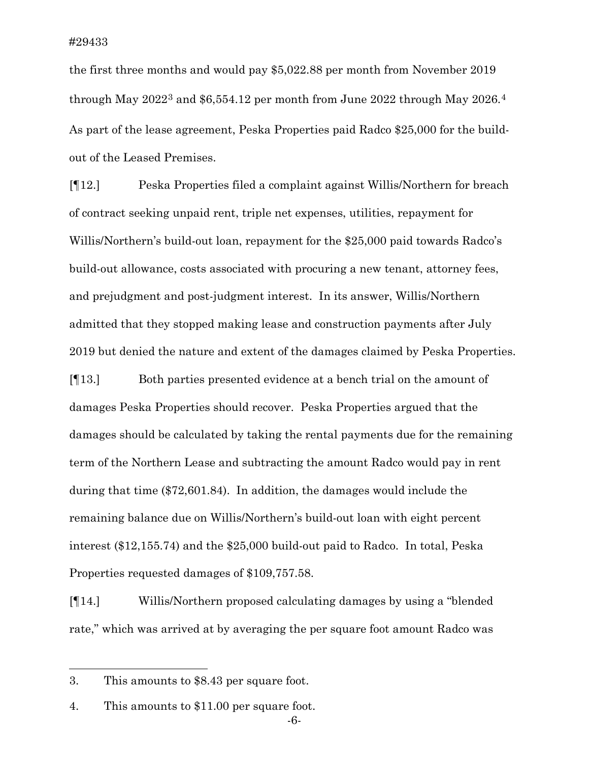the first three months and would pay \$5,022.88 per month from November 2019 through May  $2022^3$  $2022^3$  and \$6,55[4](#page-6-1).12 per month from June 2022 through May  $2026.^4$ As part of the lease agreement, Peska Properties paid Radco \$25,000 for the buildout of the Leased Premises.

[¶12.] Peska Properties filed a complaint against Willis/Northern for breach of contract seeking unpaid rent, triple net expenses, utilities, repayment for Willis/Northern's build-out loan, repayment for the \$25,000 paid towards Radco's build-out allowance, costs associated with procuring a new tenant, attorney fees, and prejudgment and post-judgment interest. In its answer, Willis/Northern admitted that they stopped making lease and construction payments after July 2019 but denied the nature and extent of the damages claimed by Peska Properties.

[¶13.] Both parties presented evidence at a bench trial on the amount of damages Peska Properties should recover. Peska Properties argued that the damages should be calculated by taking the rental payments due for the remaining term of the Northern Lease and subtracting the amount Radco would pay in rent during that time (\$72,601.84). In addition, the damages would include the remaining balance due on Willis/Northern's build-out loan with eight percent interest (\$12,155.74) and the \$25,000 build-out paid to Radco. In total, Peska Properties requested damages of \$109,757.58.

[¶14.] Willis/Northern proposed calculating damages by using a "blended rate," which was arrived at by averaging the per square foot amount Radco was

<span id="page-6-0"></span><sup>3.</sup> This amounts to \$8.43 per square foot.

<span id="page-6-1"></span><sup>4.</sup> This amounts to \$11.00 per square foot.

<sup>-6-</sup>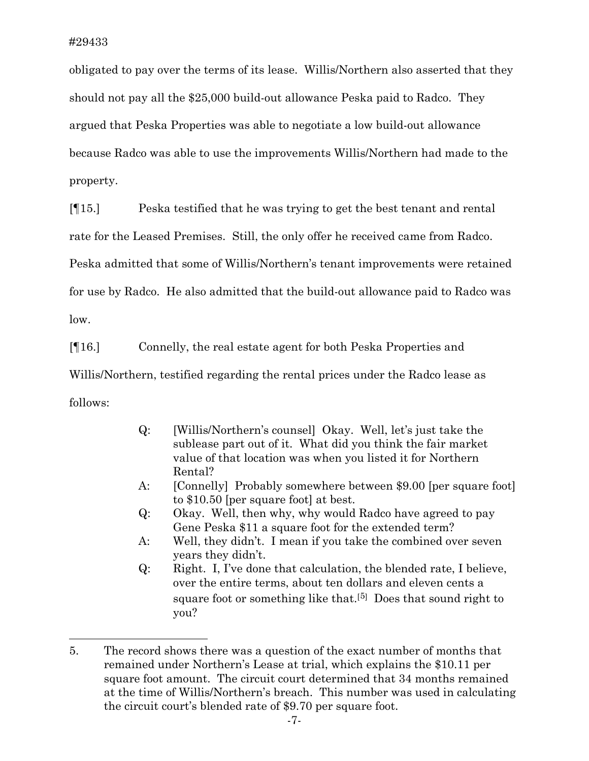obligated to pay over the terms of its lease. Willis/Northern also asserted that they should not pay all the \$25,000 build-out allowance Peska paid to Radco. They argued that Peska Properties was able to negotiate a low build-out allowance because Radco was able to use the improvements Willis/Northern had made to the property.

[¶15.] Peska testified that he was trying to get the best tenant and rental

rate for the Leased Premises. Still, the only offer he received came from Radco.

Peska admitted that some of Willis/Northern's tenant improvements were retained

for use by Radco. He also admitted that the build-out allowance paid to Radco was

low.

[¶16.] Connelly, the real estate agent for both Peska Properties and

Willis/Northern, testified regarding the rental prices under the Radco lease as

follows:

- Q: [Willis/Northern's counsel] Okay. Well, let's just take the sublease part out of it. What did you think the fair market value of that location was when you listed it for Northern Rental?
- A: [Connelly] Probably somewhere between \$9.00 [per square foot] to \$10.50 [per square foot] at best.
- Q: Okay. Well, then why, why would Radco have agreed to pay Gene Peska \$11 a square foot for the extended term?
- A: Well, they didn't. I mean if you take the combined over seven years they didn't.
- Q: Right. I, I've done that calculation, the blended rate, I believe, over the entire terms, about ten dollars and eleven cents a square foot or something like that.<sup>[[5\]](#page-7-0)</sup> Does that sound right to you?

<span id="page-7-0"></span><sup>5.</sup> The record shows there was a question of the exact number of months that remained under Northern's Lease at trial, which explains the \$10.11 per square foot amount. The circuit court determined that 34 months remained at the time of Willis/Northern's breach. This number was used in calculating the circuit court's blended rate of \$9.70 per square foot.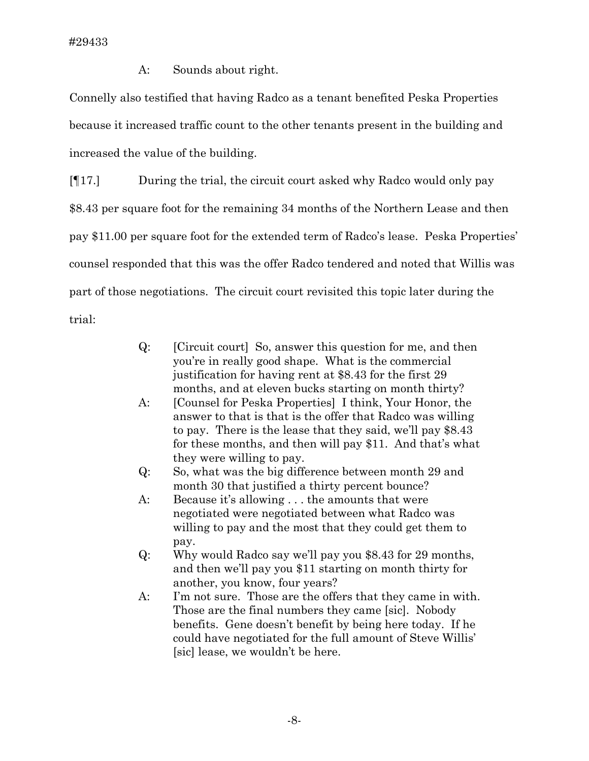A: Sounds about right.

Connelly also testified that having Radco as a tenant benefited Peska Properties because it increased traffic count to the other tenants present in the building and increased the value of the building.

[¶17.] During the trial, the circuit court asked why Radco would only pay \$8.43 per square foot for the remaining 34 months of the Northern Lease and then pay \$11.00 per square foot for the extended term of Radco's lease. Peska Properties' counsel responded that this was the offer Radco tendered and noted that Willis was part of those negotiations. The circuit court revisited this topic later during the trial:

- Q: [Circuit court] So, answer this question for me, and then you're in really good shape. What is the commercial justification for having rent at \$8.43 for the first 29 months, and at eleven bucks starting on month thirty?
- A: [Counsel for Peska Properties] I think, Your Honor, the answer to that is that is the offer that Radco was willing to pay. There is the lease that they said, we'll pay \$8.43 for these months, and then will pay \$11. And that's what they were willing to pay.
- Q: So, what was the big difference between month 29 and month 30 that justified a thirty percent bounce?
- A: Because it's allowing . . . the amounts that were negotiated were negotiated between what Radco was willing to pay and the most that they could get them to pay.
- Q: Why would Radco say we'll pay you \$8.43 for 29 months, and then we'll pay you \$11 starting on month thirty for another, you know, four years?
- A: I'm not sure. Those are the offers that they came in with. Those are the final numbers they came [sic]. Nobody benefits. Gene doesn't benefit by being here today. If he could have negotiated for the full amount of Steve Willis' [sic] lease, we wouldn't be here.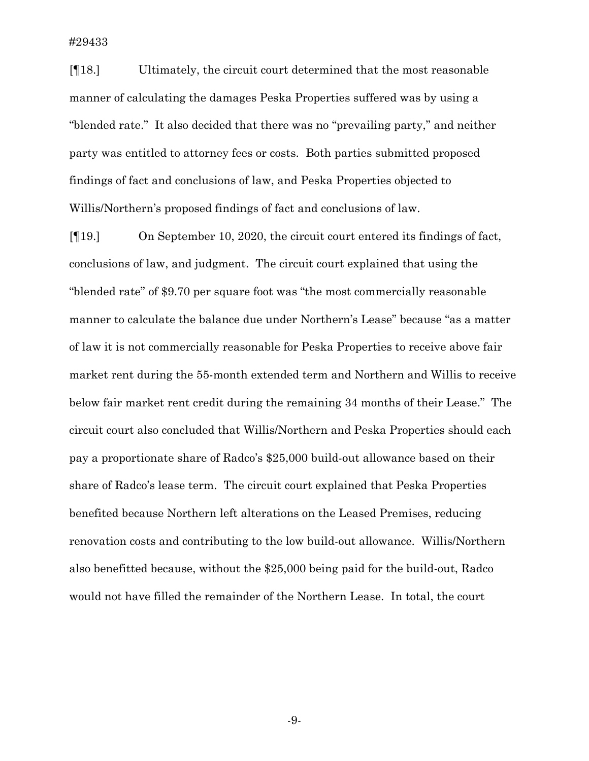[¶18.] Ultimately, the circuit court determined that the most reasonable manner of calculating the damages Peska Properties suffered was by using a "blended rate." It also decided that there was no "prevailing party," and neither party was entitled to attorney fees or costs. Both parties submitted proposed findings of fact and conclusions of law, and Peska Properties objected to Willis/Northern's proposed findings of fact and conclusions of law.

[¶19.] On September 10, 2020, the circuit court entered its findings of fact, conclusions of law, and judgment. The circuit court explained that using the "blended rate" of \$9.70 per square foot was "the most commercially reasonable manner to calculate the balance due under Northern's Lease" because "as a matter of law it is not commercially reasonable for Peska Properties to receive above fair market rent during the 55-month extended term and Northern and Willis to receive below fair market rent credit during the remaining 34 months of their Lease." The circuit court also concluded that Willis/Northern and Peska Properties should each pay a proportionate share of Radco's \$25,000 build-out allowance based on their share of Radco's lease term. The circuit court explained that Peska Properties benefited because Northern left alterations on the Leased Premises, reducing renovation costs and contributing to the low build-out allowance. Willis/Northern also benefitted because, without the \$25,000 being paid for the build-out, Radco would not have filled the remainder of the Northern Lease. In total, the court

-9-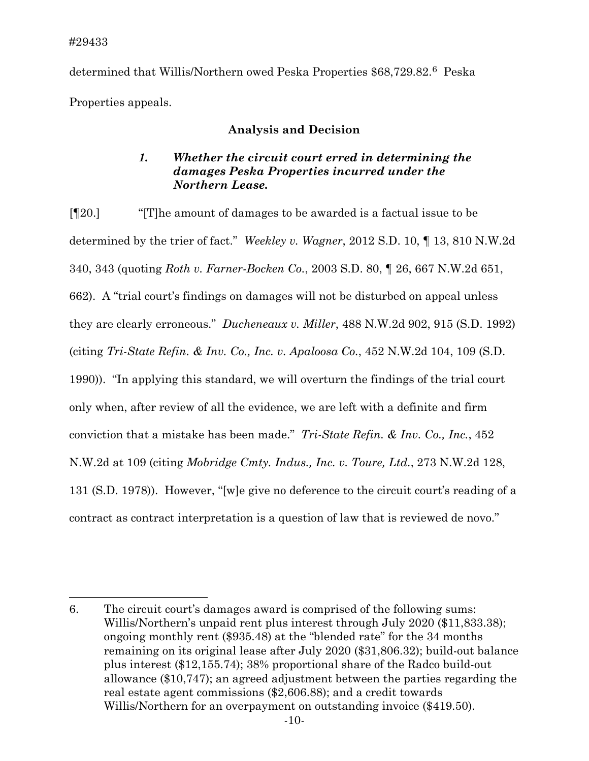determined that Willis/Northern owed Peska Properties \$68,729.82.[6](#page-10-0) Peska Properties appeals.

## **Analysis and Decision**

# *1. Whether the circuit court erred in determining the damages Peska Properties incurred under the Northern Lease.*

[¶20.] "[T]he amount of damages to be awarded is a factual issue to be determined by the trier of fact." *Weekley v. Wagner*, 2012 S.D. 10, ¶ 13, 810 N.W.2d 340, 343 (quoting *Roth v. Farner-Bocken Co.*, 2003 S.D. 80, ¶ 26, 667 N.W.2d 651, 662). A "trial court's findings on damages will not be disturbed on appeal unless they are clearly erroneous." *Ducheneaux v. Miller*, 488 N.W.2d 902, 915 (S.D. 1992) (citing *Tri-State Refin. & Inv. Co., Inc. v. Apaloosa Co.*, 452 N.W.2d 104, 109 (S.D. 1990)). "In applying this standard, we will overturn the findings of the trial court only when, after review of all the evidence, we are left with a definite and firm conviction that a mistake has been made." *Tri-State Refin. & Inv. Co., Inc.*, 452 N.W.2d at 109 (citing *Mobridge Cmty. Indus., Inc. v. Toure, Ltd.*, 273 N.W.2d 128, 131 (S.D. 1978)). However, "[w]e give no deference to the circuit court's reading of a contract as contract interpretation is a question of law that is reviewed de novo."

<span id="page-10-0"></span><sup>6.</sup> The circuit court's damages award is comprised of the following sums: Willis/Northern's unpaid rent plus interest through July 2020 (\$11,833.38); ongoing monthly rent (\$935.48) at the "blended rate" for the 34 months remaining on its original lease after July 2020 (\$31,806.32); build-out balance plus interest (\$12,155.74); 38% proportional share of the Radco build-out allowance (\$10,747); an agreed adjustment between the parties regarding the real estate agent commissions (\$2,606.88); and a credit towards Willis/Northern for an overpayment on outstanding invoice (\$419.50).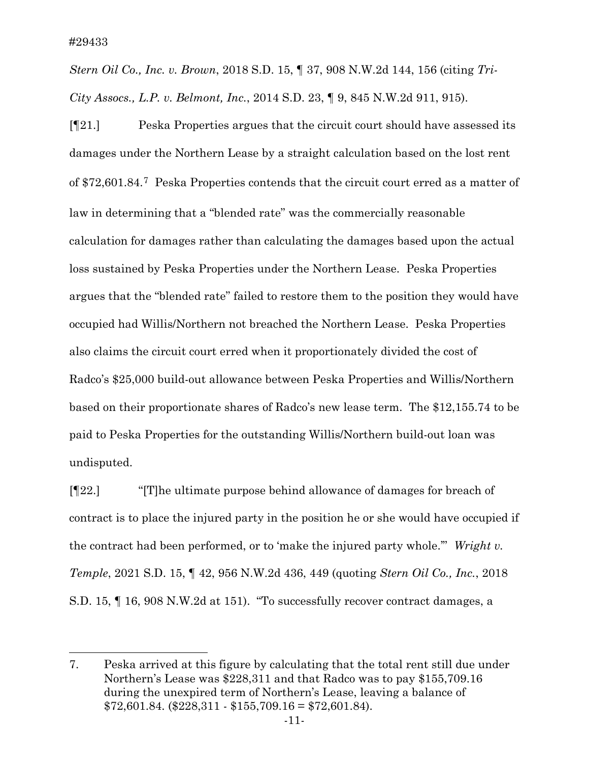*Stern Oil Co., Inc. v. Brown*, 2018 S.D. 15, ¶ 37, 908 N.W.2d 144, 156 (citing *Tri-City Assocs., L.P. v. Belmont, Inc.*, 2014 S.D. 23, ¶ 9, 845 N.W.2d 911, 915).

[¶21.] Peska Properties argues that the circuit court should have assessed its damages under the Northern Lease by a straight calculation based on the lost rent of \$72,601.84.[7](#page-11-0) Peska Properties contends that the circuit court erred as a matter of law in determining that a "blended rate" was the commercially reasonable calculation for damages rather than calculating the damages based upon the actual loss sustained by Peska Properties under the Northern Lease. Peska Properties argues that the "blended rate" failed to restore them to the position they would have occupied had Willis/Northern not breached the Northern Lease. Peska Properties also claims the circuit court erred when it proportionately divided the cost of Radco's \$25,000 build-out allowance between Peska Properties and Willis/Northern based on their proportionate shares of Radco's new lease term. The \$12,155.74 to be paid to Peska Properties for the outstanding Willis/Northern build-out loan was undisputed.

[¶22.] "[T]he ultimate purpose behind allowance of damages for breach of contract is to place the injured party in the position he or she would have occupied if the contract had been performed, or to 'make the injured party whole.'" *Wright v. Temple*, 2021 S.D. 15, ¶ 42, 956 N.W.2d 436, 449 (quoting *Stern Oil Co., Inc.*, 2018 S.D. 15, ¶ 16, 908 N.W.2d at 151). "To successfully recover contract damages, a

<span id="page-11-0"></span><sup>7.</sup> Peska arrived at this figure by calculating that the total rent still due under Northern's Lease was \$228,311 and that Radco was to pay \$155,709.16 during the unexpired term of Northern's Lease, leaving a balance of  $$72,601.84.$  ( $$228,311 - $155,709.16 = $72,601.84$ ).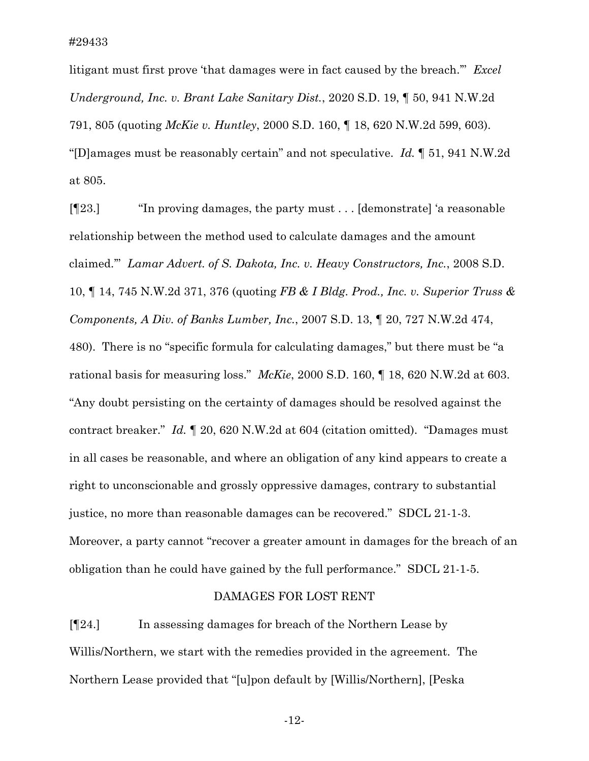litigant must first prove 'that damages were in fact caused by the breach.'" *Excel Underground, Inc. v. Brant Lake Sanitary Dist.*, 2020 S.D. 19, ¶ 50, 941 N.W.2d 791, 805 (quoting *McKie v. Huntley*, 2000 S.D. 160, ¶ 18, 620 N.W.2d 599, 603). "[D]amages must be reasonably certain" and not speculative. *Id.* ¶ 51, 941 N.W.2d at 805.

[¶23.] "In proving damages, the party must . . . [demonstrate] 'a reasonable relationship between the method used to calculate damages and the amount claimed.'" *Lamar Advert. of S. Dakota, Inc. v. Heavy Constructors, Inc.*, 2008 S.D. 10, ¶ 14, 745 N.W.2d 371, 376 (quoting *FB & I Bldg. Prod., Inc. v. Superior Truss & Components, A Div. of Banks Lumber, Inc.*, 2007 S.D. 13, ¶ 20, 727 N.W.2d 474, 480). There is no "specific formula for calculating damages," but there must be "a rational basis for measuring loss." *McKie*, 2000 S.D. 160, ¶ 18, 620 N.W.2d at 603. "Any doubt persisting on the certainty of damages should be resolved against the contract breaker." *Id.* ¶ 20, 620 N.W.2d at 604 (citation omitted). "Damages must in all cases be reasonable, and where an obligation of any kind appears to create a right to unconscionable and grossly oppressive damages, contrary to substantial justice, no more than reasonable damages can be recovered." SDCL 21-1-3. Moreover, a party cannot "recover a greater amount in damages for the breach of an obligation than he could have gained by the full performance." SDCL 21-1-5.

#### DAMAGES FOR LOST RENT

[¶24.] In assessing damages for breach of the Northern Lease by Willis/Northern, we start with the remedies provided in the agreement. The Northern Lease provided that "[u]pon default by [Willis/Northern], [Peska

-12-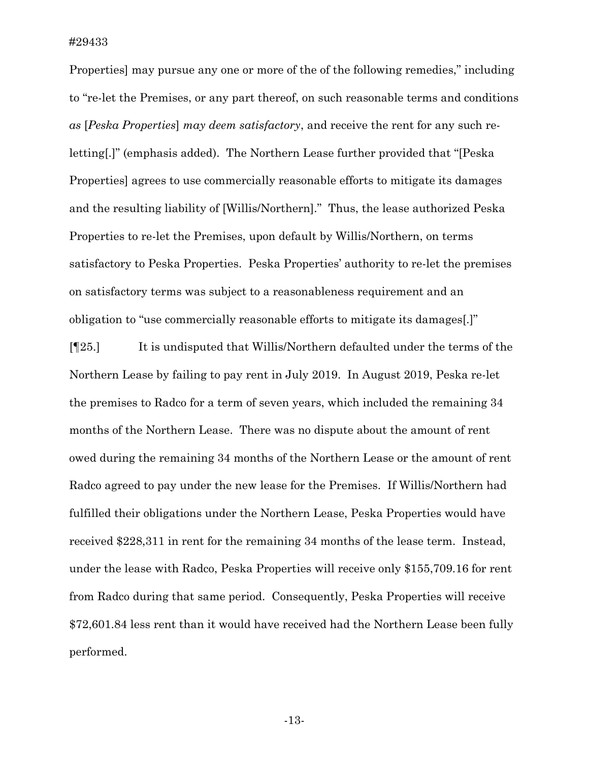Properties] may pursue any one or more of the of the following remedies," including to "re-let the Premises, or any part thereof, on such reasonable terms and conditions *as* [*Peska Properties*] *may deem satisfactory*, and receive the rent for any such reletting[.]" (emphasis added). The Northern Lease further provided that "[Peska Properties] agrees to use commercially reasonable efforts to mitigate its damages and the resulting liability of [Willis/Northern]." Thus, the lease authorized Peska Properties to re-let the Premises, upon default by Willis/Northern, on terms satisfactory to Peska Properties. Peska Properties' authority to re-let the premises on satisfactory terms was subject to a reasonableness requirement and an obligation to "use commercially reasonable efforts to mitigate its damages[.]"

[¶25.] It is undisputed that Willis/Northern defaulted under the terms of the Northern Lease by failing to pay rent in July 2019. In August 2019, Peska re-let the premises to Radco for a term of seven years, which included the remaining 34 months of the Northern Lease. There was no dispute about the amount of rent owed during the remaining 34 months of the Northern Lease or the amount of rent Radco agreed to pay under the new lease for the Premises. If Willis/Northern had fulfilled their obligations under the Northern Lease, Peska Properties would have received \$228,311 in rent for the remaining 34 months of the lease term. Instead, under the lease with Radco, Peska Properties will receive only \$155,709.16 for rent from Radco during that same period. Consequently, Peska Properties will receive \$72,601.84 less rent than it would have received had the Northern Lease been fully performed.

-13-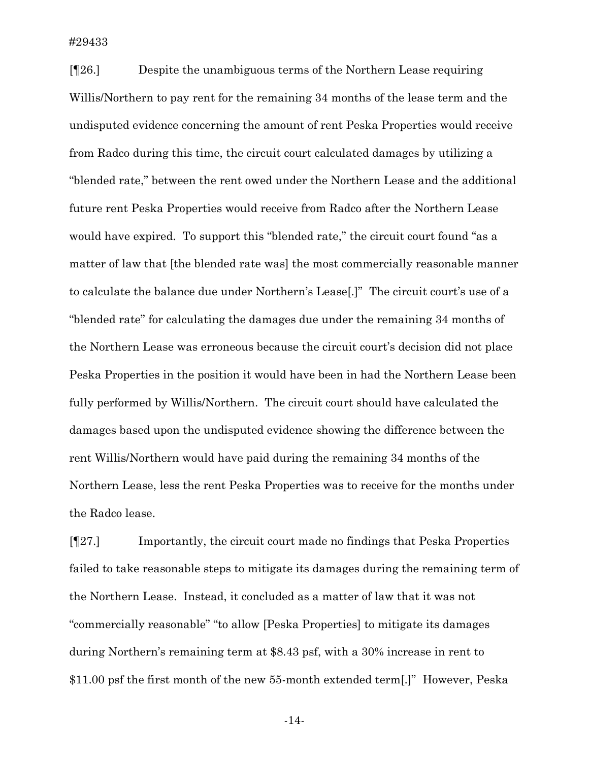[¶26.] Despite the unambiguous terms of the Northern Lease requiring Willis/Northern to pay rent for the remaining 34 months of the lease term and the undisputed evidence concerning the amount of rent Peska Properties would receive from Radco during this time, the circuit court calculated damages by utilizing a "blended rate," between the rent owed under the Northern Lease and the additional future rent Peska Properties would receive from Radco after the Northern Lease would have expired. To support this "blended rate," the circuit court found "as a matter of law that [the blended rate was] the most commercially reasonable manner to calculate the balance due under Northern's Lease[.]" The circuit court's use of a "blended rate" for calculating the damages due under the remaining 34 months of the Northern Lease was erroneous because the circuit court's decision did not place Peska Properties in the position it would have been in had the Northern Lease been fully performed by Willis/Northern. The circuit court should have calculated the damages based upon the undisputed evidence showing the difference between the rent Willis/Northern would have paid during the remaining 34 months of the Northern Lease, less the rent Peska Properties was to receive for the months under the Radco lease.

[¶27.] Importantly, the circuit court made no findings that Peska Properties failed to take reasonable steps to mitigate its damages during the remaining term of the Northern Lease. Instead, it concluded as a matter of law that it was not "commercially reasonable" "to allow [Peska Properties] to mitigate its damages during Northern's remaining term at \$8.43 psf, with a 30% increase in rent to \$11.00 psf the first month of the new 55-month extended term[.]" However, Peska

-14-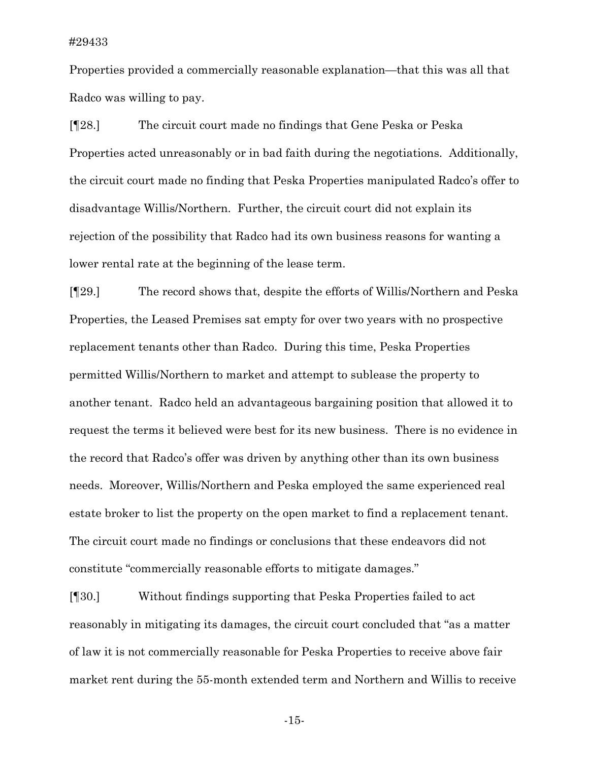Properties provided a commercially reasonable explanation—that this was all that Radco was willing to pay.

[¶28.] The circuit court made no findings that Gene Peska or Peska Properties acted unreasonably or in bad faith during the negotiations. Additionally, the circuit court made no finding that Peska Properties manipulated Radco's offer to disadvantage Willis/Northern. Further, the circuit court did not explain its rejection of the possibility that Radco had its own business reasons for wanting a lower rental rate at the beginning of the lease term.

[¶29.] The record shows that, despite the efforts of Willis/Northern and Peska Properties, the Leased Premises sat empty for over two years with no prospective replacement tenants other than Radco. During this time, Peska Properties permitted Willis/Northern to market and attempt to sublease the property to another tenant. Radco held an advantageous bargaining position that allowed it to request the terms it believed were best for its new business. There is no evidence in the record that Radco's offer was driven by anything other than its own business needs. Moreover, Willis/Northern and Peska employed the same experienced real estate broker to list the property on the open market to find a replacement tenant. The circuit court made no findings or conclusions that these endeavors did not constitute "commercially reasonable efforts to mitigate damages."

[¶30.] Without findings supporting that Peska Properties failed to act reasonably in mitigating its damages, the circuit court concluded that "as a matter of law it is not commercially reasonable for Peska Properties to receive above fair market rent during the 55-month extended term and Northern and Willis to receive

-15-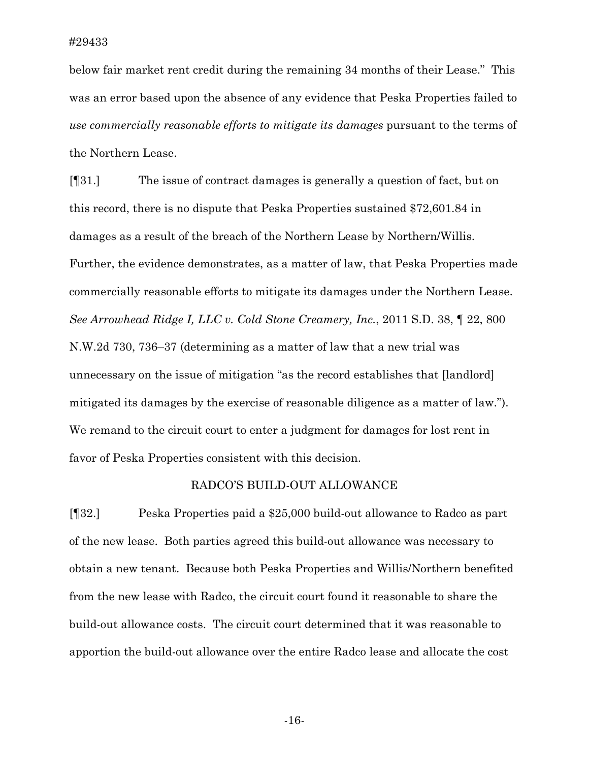below fair market rent credit during the remaining 34 months of their Lease." This was an error based upon the absence of any evidence that Peska Properties failed to *use commercially reasonable efforts to mitigate its damages* pursuant to the terms of the Northern Lease.

[¶31.] The issue of contract damages is generally a question of fact, but on this record, there is no dispute that Peska Properties sustained \$72,601.84 in damages as a result of the breach of the Northern Lease by Northern/Willis. Further, the evidence demonstrates, as a matter of law, that Peska Properties made commercially reasonable efforts to mitigate its damages under the Northern Lease. *See Arrowhead Ridge I, LLC v. Cold Stone Creamery, Inc.*, 2011 S.D. 38, ¶ 22, 800 N.W.2d 730, 736–37 (determining as a matter of law that a new trial was unnecessary on the issue of mitigation "as the record establishes that [landlord] mitigated its damages by the exercise of reasonable diligence as a matter of law."). We remand to the circuit court to enter a judgment for damages for lost rent in favor of Peska Properties consistent with this decision.

#### RADCO'S BUILD-OUT ALLOWANCE

[¶32.] Peska Properties paid a \$25,000 build-out allowance to Radco as part of the new lease. Both parties agreed this build-out allowance was necessary to obtain a new tenant. Because both Peska Properties and Willis/Northern benefited from the new lease with Radco, the circuit court found it reasonable to share the build-out allowance costs. The circuit court determined that it was reasonable to apportion the build-out allowance over the entire Radco lease and allocate the cost

-16-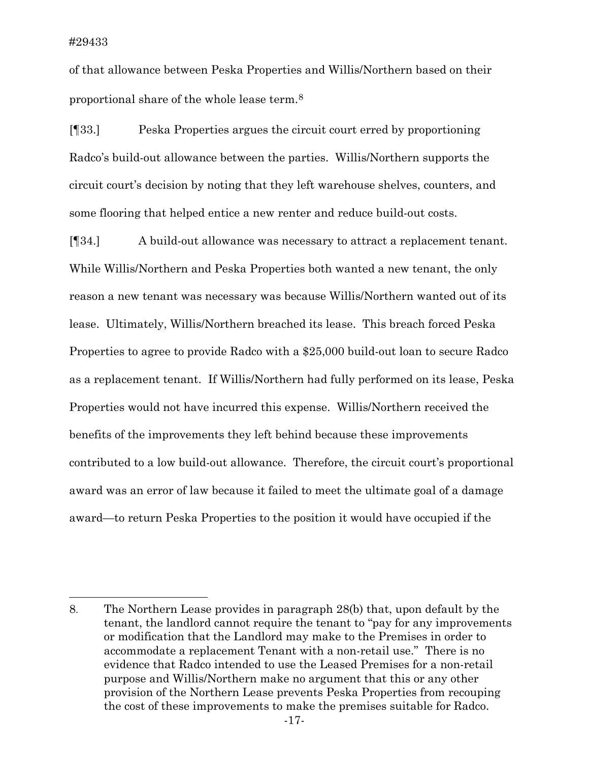of that allowance between Peska Properties and Willis/Northern based on their proportional share of the whole lease term[.8](#page-17-0)

[¶33.] Peska Properties argues the circuit court erred by proportioning Radco's build-out allowance between the parties. Willis/Northern supports the circuit court's decision by noting that they left warehouse shelves, counters, and some flooring that helped entice a new renter and reduce build-out costs.

[¶34.] A build-out allowance was necessary to attract a replacement tenant. While Willis/Northern and Peska Properties both wanted a new tenant, the only reason a new tenant was necessary was because Willis/Northern wanted out of its lease. Ultimately, Willis/Northern breached its lease. This breach forced Peska Properties to agree to provide Radco with a \$25,000 build-out loan to secure Radco as a replacement tenant. If Willis/Northern had fully performed on its lease, Peska Properties would not have incurred this expense. Willis/Northern received the benefits of the improvements they left behind because these improvements contributed to a low build-out allowance. Therefore, the circuit court's proportional award was an error of law because it failed to meet the ultimate goal of a damage award—to return Peska Properties to the position it would have occupied if the

<span id="page-17-0"></span><sup>8.</sup> The Northern Lease provides in paragraph 28(b) that, upon default by the tenant, the landlord cannot require the tenant to "pay for any improvements or modification that the Landlord may make to the Premises in order to accommodate a replacement Tenant with a non-retail use." There is no evidence that Radco intended to use the Leased Premises for a non-retail purpose and Willis/Northern make no argument that this or any other provision of the Northern Lease prevents Peska Properties from recouping the cost of these improvements to make the premises suitable for Radco.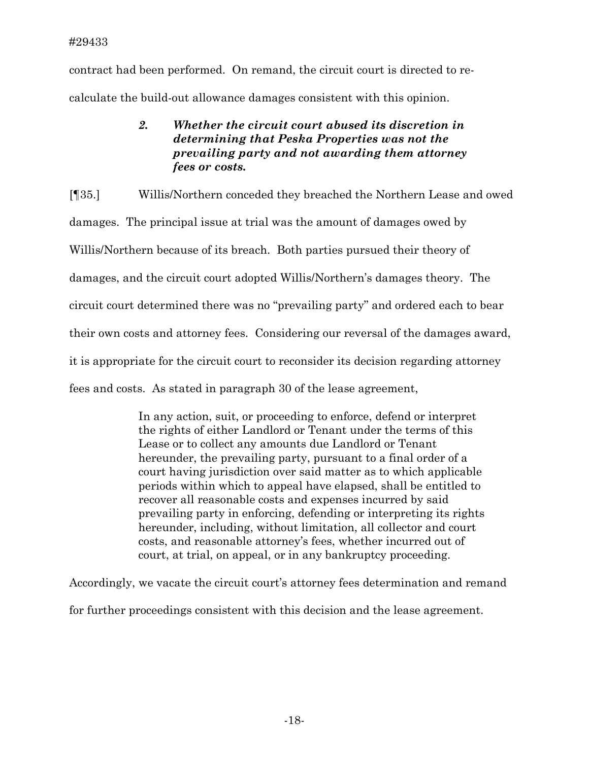contract had been performed. On remand, the circuit court is directed to recalculate the build-out allowance damages consistent with this opinion.

# *2. Whether the circuit court abused its discretion in determining that Peska Properties was not the prevailing party and not awarding them attorney fees or costs.*

[¶35.] Willis/Northern conceded they breached the Northern Lease and owed damages. The principal issue at trial was the amount of damages owed by Willis/Northern because of its breach. Both parties pursued their theory of damages, and the circuit court adopted Willis/Northern's damages theory. The circuit court determined there was no "prevailing party" and ordered each to bear their own costs and attorney fees. Considering our reversal of the damages award, it is appropriate for the circuit court to reconsider its decision regarding attorney fees and costs. As stated in paragraph 30 of the lease agreement,

> In any action, suit, or proceeding to enforce, defend or interpret the rights of either Landlord or Tenant under the terms of this Lease or to collect any amounts due Landlord or Tenant hereunder, the prevailing party, pursuant to a final order of a court having jurisdiction over said matter as to which applicable periods within which to appeal have elapsed, shall be entitled to recover all reasonable costs and expenses incurred by said prevailing party in enforcing, defending or interpreting its rights hereunder, including, without limitation, all collector and court costs, and reasonable attorney's fees, whether incurred out of court, at trial, on appeal, or in any bankruptcy proceeding.

Accordingly, we vacate the circuit court's attorney fees determination and remand for further proceedings consistent with this decision and the lease agreement.